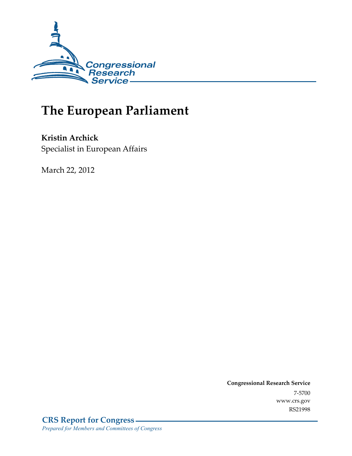

# **The European Parliament**

**Kristin Archick**  Specialist in European Affairs

March 22, 2012

**Congressional Research Service**  7-5700 www.crs.gov RS21998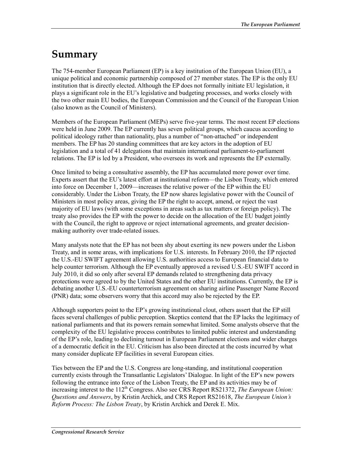## **Summary**

The 754-member European Parliament (EP) is a key institution of the European Union (EU), a unique political and economic partnership composed of 27 member states. The EP is the only EU institution that is directly elected. Although the EP does not formally initiate EU legislation, it plays a significant role in the EU's legislative and budgeting processes, and works closely with the two other main EU bodies, the European Commission and the Council of the European Union (also known as the Council of Ministers).

Members of the European Parliament (MEPs) serve five-year terms. The most recent EP elections were held in June 2009. The EP currently has seven political groups, which caucus according to political ideology rather than nationality, plus a number of "non-attached" or independent members. The EP has 20 standing committees that are key actors in the adoption of EU legislation and a total of 41 delegations that maintain international parliament-to-parliament relations. The EP is led by a President, who oversees its work and represents the EP externally.

Once limited to being a consultative assembly, the EP has accumulated more power over time. Experts assert that the EU's latest effort at institutional reform—the Lisbon Treaty, which entered into force on December 1, 2009—increases the relative power of the EP within the EU considerably. Under the Lisbon Treaty, the EP now shares legislative power with the Council of Ministers in most policy areas, giving the EP the right to accept, amend, or reject the vast majority of EU laws (with some exceptions in areas such as tax matters or foreign policy). The treaty also provides the EP with the power to decide on the allocation of the EU budget jointly with the Council, the right to approve or reject international agreements, and greater decisionmaking authority over trade-related issues.

Many analysts note that the EP has not been shy about exerting its new powers under the Lisbon Treaty, and in some areas, with implications for U.S. interests. In February 2010, the EP rejected the U.S.-EU SWIFT agreement allowing U.S. authorities access to European financial data to help counter terrorism. Although the EP eventually approved a revised U.S.-EU SWIFT accord in July 2010, it did so only after several EP demands related to strengthening data privacy protections were agreed to by the United States and the other EU institutions. Currently, the EP is debating another U.S.-EU counterterrorism agreement on sharing airline Passenger Name Record (PNR) data; some observers worry that this accord may also be rejected by the EP.

Although supporters point to the EP's growing institutional clout, others assert that the EP still faces several challenges of public perception. Skeptics contend that the EP lacks the legitimacy of national parliaments and that its powers remain somewhat limited. Some analysts observe that the complexity of the EU legislative process contributes to limited public interest and understanding of the EP's role, leading to declining turnout in European Parliament elections and wider charges of a democratic deficit in the EU. Criticism has also been directed at the costs incurred by what many consider duplicate EP facilities in several European cities.

Ties between the EP and the U.S. Congress are long-standing, and institutional cooperation currently exists through the Transatlantic Legislators' Dialogue. In light of the EP's new powers following the entrance into force of the Lisbon Treaty, the EP and its activities may be of increasing interest to the 112<sup>th</sup> Congress. Also see CRS Report RS21372, *The European Union: Questions and Answers*, by Kristin Archick, and CRS Report RS21618, *The European Union's Reform Process: The Lisbon Treaty*, by Kristin Archick and Derek E. Mix.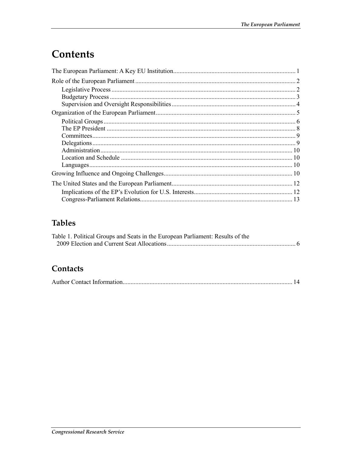## Contents

### **Tables**

| Table 1. Political Groups and Seats in the European Parliament: Results of the |  |
|--------------------------------------------------------------------------------|--|
|                                                                                |  |

### Contacts

|  | <u>14</u> |  |
|--|-----------|--|
|--|-----------|--|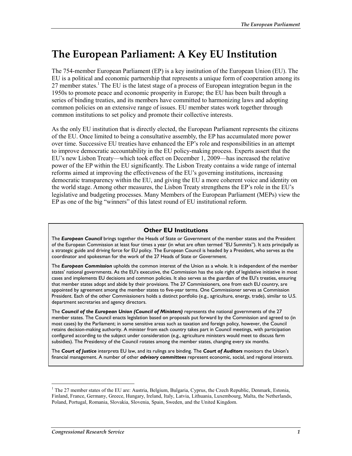## **The European Parliament: A Key EU Institution**

The 754-member European Parliament (EP) is a key institution of the European Union (EU). The EU is a political and economic partnership that represents a unique form of cooperation among its 27 member states.<sup>1</sup> The EU is the latest stage of a process of European integration begun in the 1950s to promote peace and economic prosperity in Europe; the EU has been built through a series of binding treaties, and its members have committed to harmonizing laws and adopting common policies on an extensive range of issues. EU member states work together through common institutions to set policy and promote their collective interests.

As the only EU institution that is directly elected, the European Parliament represents the citizens of the EU. Once limited to being a consultative assembly, the EP has accumulated more power over time. Successive EU treaties have enhanced the EP's role and responsibilities in an attempt to improve democratic accountability in the EU policy-making process. Experts assert that the EU's new Lisbon Treaty—which took effect on December 1, 2009—has increased the relative power of the EP within the EU significantly. The Lisbon Treaty contains a wide range of internal reforms aimed at improving the effectiveness of the EU's governing institutions, increasing democratic transparency within the EU, and giving the EU a more coherent voice and identity on the world stage. Among other measures, the Lisbon Treaty strengthens the EP's role in the EU's legislative and budgeting processes. Many Members of the European Parliament (MEPs) view the EP as one of the big "winners" of this latest round of EU institutional reform.

#### **Other EU Institutions**

The *European Council* brings together the Heads of State or Government of the member states and the President of the European Commission at least four times a year (in what are often termed "EU Summits"). It acts principally as a strategic guide and driving force for EU policy. The European Council is headed by a President, who serves as the coordinator and spokesman for the work of the 27 Heads of State or Government.

The *European Commission* upholds the common interest of the Union as a whole. It is independent of the member states' national governments. As the EU's executive, the Commission has the sole right of legislative initiative in most cases and implements EU decisions and common policies. It also serves as the guardian of the EU's treaties, ensuring that member states adopt and abide by their provisions. The 27 Commissioners, one from each EU country, are appointed by agreement among the member states to five-year terms. One Commissioner serves as Commission President. Each of the other Commissioners holds a distinct portfolio (e.g., agriculture, energy, trade), similar to U.S. department secretaries and agency directors.

The *Council of the European Union (Council of Ministers)* represents the national governments of the 27 member states. The Council enacts legislation based on proposals put forward by the Commission and agreed to (in most cases) by the Parliament; in some sensitive areas such as taxation and foreign policy, however, the Council retains decision-making authority. A minister from each country takes part in Council meetings, with participation configured according to the subject under consideration (e.g., agriculture ministers would meet to discuss farm subsidies). The Presidency of the Council rotates among the member states, changing every six months.

The *Court of Justice* interprets EU law, and its rulings are binding. The *Court of Auditors* monitors the Union's financial management. A number of other *advisory committees* represent economic, social, and regional interests.

<sup>&</sup>lt;sup>1</sup> The 27 member states of the EU are: Austria, Belgium, Bulgaria, Cyprus, the Czech Republic, Denmark, Estonia, Finland, France, Germany, Greece, Hungary, Ireland, Italy, Latvia, Lithuania, Luxembourg, Malta, the Netherlands, Poland, Portugal, Romania, Slovakia, Slovenia, Spain, Sweden, and the United Kingdom.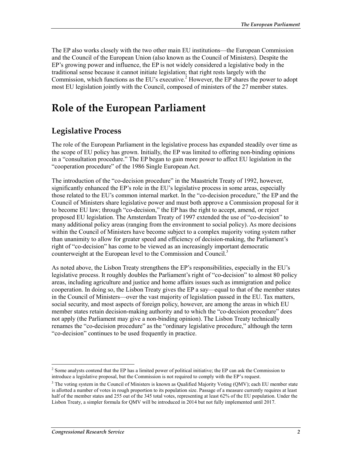The EP also works closely with the two other main EU institutions—the European Commission and the Council of the European Union (also known as the Council of Ministers). Despite the EP's growing power and influence, the EP is not widely considered a legislative body in the traditional sense because it cannot initiate legislation; that right rests largely with the Commission, which functions as the EU's executive.<sup>2</sup> However, the EP shares the power to adopt most EU legislation jointly with the Council, composed of ministers of the 27 member states.

## **Role of the European Parliament**

### **Legislative Process**

The role of the European Parliament in the legislative process has expanded steadily over time as the scope of EU policy has grown. Initially, the EP was limited to offering non-binding opinions in a "consultation procedure." The EP began to gain more power to affect EU legislation in the "cooperation procedure" of the 1986 Single European Act.

The introduction of the "co-decision procedure" in the Maastricht Treaty of 1992, however, significantly enhanced the EP's role in the EU's legislative process in some areas, especially those related to the EU's common internal market. In the "co-decision procedure," the EP and the Council of Ministers share legislative power and must both approve a Commission proposal for it to become EU law; through "co-decision," the EP has the right to accept, amend, or reject proposed EU legislation. The Amsterdam Treaty of 1997 extended the use of "co-decision" to many additional policy areas (ranging from the environment to social policy). As more decisions within the Council of Ministers have become subject to a complex majority voting system rather than unanimity to allow for greater speed and efficiency of decision-making, the Parliament's right of "co-decision" has come to be viewed as an increasingly important democratic counterweight at the European level to the Commission and Council.<sup>3</sup>

As noted above, the Lisbon Treaty strengthens the EP's responsibilities, especially in the EU's legislative process. It roughly doubles the Parliament's right of "co-decision" to almost 80 policy areas, including agriculture and justice and home affairs issues such as immigration and police cooperation. In doing so, the Lisbon Treaty gives the EP a say—equal to that of the member states in the Council of Ministers—over the vast majority of legislation passed in the EU. Tax matters, social security, and most aspects of foreign policy, however, are among the areas in which EU member states retain decision-making authority and to which the "co-decision procedure" does not apply (the Parliament may give a non-binding opinion). The Lisbon Treaty technically renames the "co-decision procedure" as the "ordinary legislative procedure," although the term "co-decision" continues to be used frequently in practice.

<sup>1</sup> <sup>2</sup> Some analysts contend that the EP has a limited power of political initiative; the EP can ask the Commission to introduce a legislative proposal, but the Commission is not required to comply with the EP's request.

<sup>&</sup>lt;sup>3</sup> The voting system in the Council of Ministers is known as Qualified Majority Voting (QMV); each EU member state is allotted a number of votes in rough proportion to its population size. Passage of a measure currently requires at least half of the member states and 255 out of the 345 total votes, representing at least 62% of the EU population. Under the Lisbon Treaty, a simpler formula for QMV will be introduced in 2014 but not fully implemented until 2017.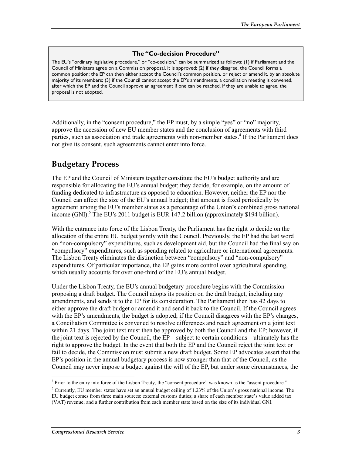#### **The "Co-decision Procedure"**

The EU's "ordinary legislative procedure," or "co-decision," can be summarized as follows: (1) if Parliament and the Council of Ministers agree on a Commission proposal, it is approved; (2) if they disagree, the Council forms a common position; the EP can then either accept the Council's common position, or reject or amend it, by an absolute majority of its members; (3) if the Council cannot accept the EP's amendments, a conciliation meeting is convened, after which the EP and the Council approve an agreement if one can be reached. If they are unable to agree, the proposal is not adopted.

Additionally, in the "consent procedure," the EP must, by a simple "yes" or "no" majority, approve the accession of new EU member states and the conclusion of agreements with third parties, such as association and trade agreements with non-member states.<sup>4</sup> If the Parliament does not give its consent, such agreements cannot enter into force.

### **Budgetary Process**

The EP and the Council of Ministers together constitute the EU's budget authority and are responsible for allocating the EU's annual budget; they decide, for example, on the amount of funding dedicated to infrastructure as opposed to education. However, neither the EP nor the Council can affect the size of the EU's annual budget; that amount is fixed periodically by agreement among the EU's member states as a percentage of the Union's combined gross national income (GNI).<sup>5</sup> The EU's 2011 budget is EUR 147.2 billion (approximately \$194 billion).

With the entrance into force of the Lisbon Treaty, the Parliament has the right to decide on the allocation of the entire EU budget jointly with the Council. Previously, the EP had the last word on "non-compulsory" expenditures, such as development aid, but the Council had the final say on "compulsory" expenditures, such as spending related to agriculture or international agreements. The Lisbon Treaty eliminates the distinction between "compulsory" and "non-compulsory" expenditures. Of particular importance, the EP gains more control over agricultural spending, which usually accounts for over one-third of the EU's annual budget.

Under the Lisbon Treaty, the EU's annual budgetary procedure begins with the Commission proposing a draft budget. The Council adopts its position on the draft budget, including any amendments, and sends it to the EP for its consideration. The Parliament then has 42 days to either approve the draft budget or amend it and send it back to the Council. If the Council agrees with the EP's amendments, the budget is adopted; if the Council disagrees with the EP's changes, a Conciliation Committee is convened to resolve differences and reach agreement on a joint text within 21 days. The joint text must then be approved by both the Council and the EP; however, if the joint text is rejected by the Council, the EP—subject to certain conditions—ultimately has the right to approve the budget. In the event that both the EP and the Council reject the joint text or fail to decide, the Commission must submit a new draft budget. Some EP advocates assert that the EP's position in the annual budgetary process is now stronger than that of the Council, as the Council may never impose a budget against the will of the EP, but under some circumstances, the

<sup>4</sup> Prior to the entry into force of the Lisbon Treaty, the "consent procedure" was known as the "assent procedure."

<sup>&</sup>lt;sup>5</sup> Currently, EU member states have set an annual budget ceiling of 1.23% of the Union's gross national income. The EU budget comes from three main sources: external customs duties; a share of each member state's value added tax (VAT) revenue; and a further contribution from each member state based on the size of its individual GNI.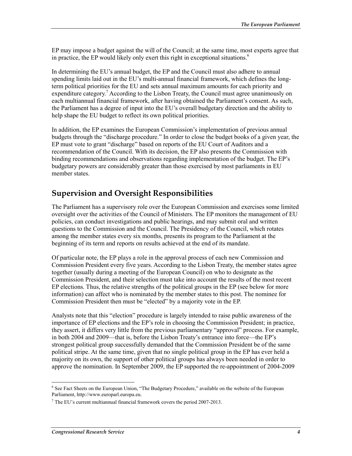EP may impose a budget against the will of the Council; at the same time, most experts agree that in practice, the EP would likely only exert this right in exceptional situations.<sup>6</sup>

In determining the EU's annual budget, the EP and the Council must also adhere to annual spending limits laid out in the EU's multi-annual financial framework, which defines the longterm political priorities for the EU and sets annual maximum amounts for each priority and expenditure category.<sup>7</sup> According to the Lisbon Treaty, the Council must agree unanimously on each multiannual financial framework, after having obtained the Parliament's consent. As such, the Parliament has a degree of input into the EU's overall budgetary direction and the ability to help shape the EU budget to reflect its own political priorities.

In addition, the EP examines the European Commission's implementation of previous annual budgets through the "discharge procedure." In order to close the budget books of a given year, the EP must vote to grant "discharge" based on reports of the EU Court of Auditors and a recommendation of the Council. With its decision, the EP also presents the Commission with binding recommendations and observations regarding implementation of the budget. The EP's budgetary powers are considerably greater than those exercised by most parliaments in EU member states.

### **Supervision and Oversight Responsibilities**

The Parliament has a supervisory role over the European Commission and exercises some limited oversight over the activities of the Council of Ministers. The EP monitors the management of EU policies, can conduct investigations and public hearings, and may submit oral and written questions to the Commission and the Council. The Presidency of the Council, which rotates among the member states every six months, presents its program to the Parliament at the beginning of its term and reports on results achieved at the end of its mandate.

Of particular note, the EP plays a role in the approval process of each new Commission and Commission President every five years. According to the Lisbon Treaty, the member states agree together (usually during a meeting of the European Council) on who to designate as the Commission President, and their selection must take into account the results of the most recent EP elections. Thus, the relative strengths of the political groups in the EP (see below for more information) can affect who is nominated by the member states to this post. The nominee for Commission President then must be "elected" by a majority vote in the EP.

Analysts note that this "election" procedure is largely intended to raise public awareness of the importance of EP elections and the EP's role in choosing the Commission President; in practice, they assert, it differs very little from the previous parliamentary "approval" process. For example, in both 2004 and 2009—that is, before the Lisbon Treaty's entrance into force—the EP's strongest political group successfully demanded that the Commission President be of the same political stripe. At the same time, given that no single political group in the EP has ever held a majority on its own, the support of other political groups has always been needed in order to approve the nomination. In September 2009, the EP supported the re-appointment of 2004-2009

<sup>&</sup>lt;sup>6</sup> See Fact Sheets on the European Union, "The Budgetary Procedure," available on the website of the European Parliament, http://www.europarl.europa.eu.

 $7$  The EU's current multiannual financial framework covers the period 2007-2013.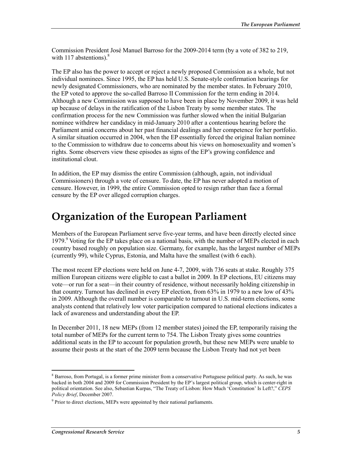Commission President José Manuel Barroso for the 2009-2014 term (by a vote of 382 to 219, with 117 abstentions). $8$ 

The EP also has the power to accept or reject a newly proposed Commission as a whole, but not individual nominees. Since 1995, the EP has held U.S. Senate-style confirmation hearings for newly designated Commissioners, who are nominated by the member states. In February 2010, the EP voted to approve the so-called Barroso II Commission for the term ending in 2014. Although a new Commission was supposed to have been in place by November 2009, it was held up because of delays in the ratification of the Lisbon Treaty by some member states. The confirmation process for the new Commission was further slowed when the initial Bulgarian nominee withdrew her candidacy in mid-January 2010 after a contentious hearing before the Parliament amid concerns about her past financial dealings and her competence for her portfolio. A similar situation occurred in 2004, when the EP essentially forced the original Italian nominee to the Commission to withdraw due to concerns about his views on homosexuality and women's rights. Some observers view these episodes as signs of the EP's growing confidence and institutional clout.

In addition, the EP may dismiss the entire Commission (although, again, not individual Commissioners) through a vote of censure. To date, the EP has never adopted a motion of censure. However, in 1999, the entire Commission opted to resign rather than face a formal censure by the EP over alleged corruption charges.

## **Organization of the European Parliament**

Members of the European Parliament serve five-year terms, and have been directly elected since 1979.<sup>9</sup> Voting for the EP takes place on a national basis, with the number of MEPs elected in each country based roughly on population size. Germany, for example, has the largest number of MEPs (currently 99), while Cyprus, Estonia, and Malta have the smallest (with 6 each).

The most recent EP elections were held on June 4-7, 2009, with 736 seats at stake. Roughly 375 million European citizens were eligible to cast a ballot in 2009. In EP elections, EU citizens may vote—or run for a seat—in their country of residence, without necessarily holding citizenship in that country. Turnout has declined in every EP election, from 63% in 1979 to a new low of 43% in 2009. Although the overall number is comparable to turnout in U.S. mid-term elections, some analysts contend that relatively low voter participation compared to national elections indicates a lack of awareness and understanding about the EP.

In December 2011, 18 new MEPs (from 12 member states) joined the EP, temporarily raising the total number of MEPs for the current term to 754. The Lisbon Treaty gives some countries additional seats in the EP to account for population growth, but these new MEPs were unable to assume their posts at the start of the 2009 term because the Lisbon Treaty had not yet been

<sup>&</sup>lt;sup>8</sup> Barroso, from Portugal, is a former prime minister from a conservative Portuguese political party. As such, he was backed in both 2004 and 2009 for Commission President by the EP's largest political group, which is center-right in political orientation. See also, Sebastian Kurpas, "The Treaty of Lisbon: How Much 'Constitution' Is Left?," *CEPS Policy Brief*, December 2007.

<sup>&</sup>lt;sup>9</sup> Prior to direct elections, MEPs were appointed by their national parliaments.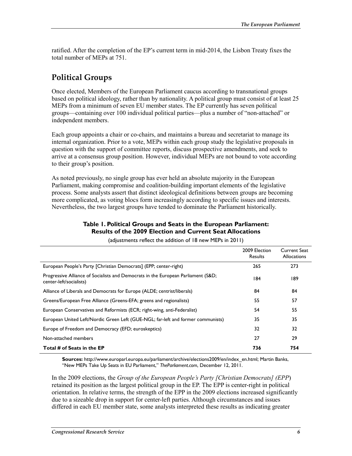ratified. After the completion of the EP's current term in mid-2014, the Lisbon Treaty fixes the total number of MEPs at 751.

### **Political Groups**

Once elected, Members of the European Parliament caucus according to transnational groups based on political ideology, rather than by nationality. A political group must consist of at least 25 MEPs from a minimum of seven EU member states. The EP currently has seven political groups—containing over 100 individual political parties—plus a number of "non-attached" or independent members.

Each group appoints a chair or co-chairs, and maintains a bureau and secretariat to manage its internal organization. Prior to a vote, MEPs within each group study the legislative proposals in question with the support of committee reports, discuss prospective amendments, and seek to arrive at a consensus group position. However, individual MEPs are not bound to vote according to their group's position.

As noted previously, no single group has ever held an absolute majority in the European Parliament, making compromise and coalition-building important elements of the legislative process. Some analysts assert that distinct ideological definitions between groups are becoming more complicated, as voting blocs form increasingly according to specific issues and interests. Nevertheless, the two largest groups have tended to dominate the Parliament historically.

#### **Table 1. Political Groups and Seats in the European Parliament: Results of the 2009 Election and Current Seat Allocations**

|                                                                                                             | 2009 Election<br><b>Results</b> | Current Seat<br><b>Allocations</b> |
|-------------------------------------------------------------------------------------------------------------|---------------------------------|------------------------------------|
| European People's Party [Christian Democrats] (EPP; center-right)                                           | 265                             | 273                                |
| Progressive Alliance of Socialists and Democrats in the European Parliament (S&D<br>center-left/socialists) | 184                             | 189                                |
| Alliance of Liberals and Democrats for Europe (ALDE; centrist/liberals)                                     | 84                              | 84                                 |
| Greens/European Free Alliance (Greens-EFA; greens and regionalists)                                         | 55                              | 57                                 |
| European Conservatives and Reformists (ECR; right-wing, anti-Federalist)                                    | 54                              | 55                                 |
| European United Left/Nordic Green Left (GUE-NGL; far-left and former communists)                            | 35                              | 35                                 |
| Europe of Freedom and Democracy (EFD; euroskeptics)                                                         | 32                              | 32                                 |
| Non-attached members                                                                                        | 27                              | 29                                 |
| Total # of Seats in the EP                                                                                  | 736                             | 754                                |

(adjustments reflect the addition of 18 new MEPs in 2011)

**Sources:** http://www.europarl.europa.eu/parliament/archive/elections2009/en/index\_en.html; Martin Banks, "New MEPs Take Up Seats in EU Parliament," *TheParliament.com*, December 12, 2011.

In the 2009 elections, the *Group of the European People's Party [Christian Democrats] (EPP*) retained its position as the largest political group in the EP. The EPP is center-right in political orientation. In relative terms, the strength of the EPP in the 2009 elections increased significantly due to a sizeable drop in support for center-left parties. Although circumstances and issues differed in each EU member state, some analysts interpreted these results as indicating greater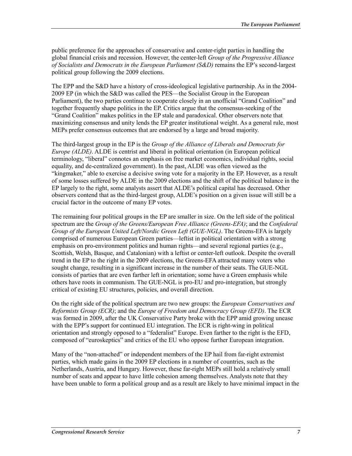public preference for the approaches of conservative and center-right parties in handling the global financial crisis and recession. However, the center-left *Group of the Progressive Alliance of Socialists and Democrats in the European Parliament (S&D)* remains the EP's second-largest political group following the 2009 elections.

The EPP and the S&D have a history of cross-ideological legislative partnership. As in the 2004- 2009 EP (in which the S&D was called the PES—the Socialist Group in the European Parliament), the two parties continue to cooperate closely in an unofficial "Grand Coalition" and together frequently shape politics in the EP. Critics argue that the consensus-seeking of the "Grand Coalition" makes politics in the EP stale and paradoxical. Other observers note that maximizing consensus and unity lends the EP greater institutional weight. As a general rule, most MEPs prefer consensus outcomes that are endorsed by a large and broad majority.

The third-largest group in the EP is the *Group of the Alliance of Liberals and Democrats for Europe (ALDE)*. ALDE is centrist and liberal in political orientation (in European political terminology, "liberal" connotes an emphasis on free market economics, individual rights, social equality, and de-centralized government). In the past, ALDE was often viewed as the "kingmaker," able to exercise a decisive swing vote for a majority in the EP. However, as a result of some losses suffered by ALDE in the 2009 elections and the shift of the political balance in the EP largely to the right, some analysts assert that ALDE's political capital has decreased. Other observers contend that as the third-largest group, ALDE's position on a given issue will still be a crucial factor in the outcome of many EP votes.

The remaining four political groups in the EP are smaller in size. On the left side of the political spectrum are the *Group of the Greens/European Free Alliance (Greens-EFA)*; and the *Confederal Group of the European United Left/Nordic Green Left (GUE-NGL)*. The Greens-EFA is largely comprised of numerous European Green parties—leftist in political orientation with a strong emphasis on pro-environment politics and human rights—and several regional parties (e.g., Scottish, Welsh, Basque, and Catalonian) with a leftist or center-left outlook. Despite the overall trend in the EP to the right in the 2009 elections, the Greens-EFA attracted many voters who sought change, resulting in a significant increase in the number of their seats. The GUE-NGL consists of parties that are even farther left in orientation; some have a Green emphasis while others have roots in communism. The GUE-NGL is pro-EU and pro-integration, but strongly critical of existing EU structures, policies, and overall direction.

On the right side of the political spectrum are two new groups: the *European Conservatives and Reformists Group (ECR)*; and the *Europe of Freedom and Democracy Group (EFD)*. The ECR was formed in 2009, after the UK Conservative Party broke with the EPP amid growing unease with the EPP's support for continued EU integration. The ECR is right-wing in political orientation and strongly opposed to a "federalist" Europe. Even farther to the right is the EFD, composed of "euroskeptics" and critics of the EU who oppose further European integration.

Many of the "non-attached" or independent members of the EP hail from far-right extremist parties, which made gains in the 2009 EP elections in a number of countries, such as the Netherlands, Austria, and Hungary. However, these far-right MEPs still hold a relatively small number of seats and appear to have little cohesion among themselves. Analysts note that they have been unable to form a political group and as a result are likely to have minimal impact in the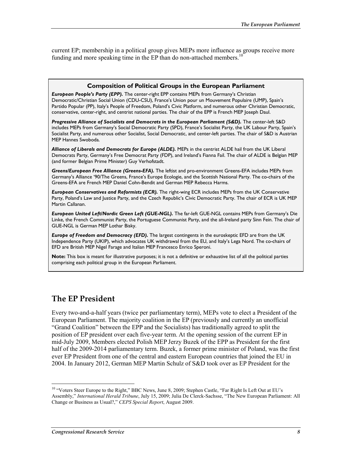current EP; membership in a political group gives MEPs more influence as groups receive more funding and more speaking time in the EP than do non-attached members. $10$ 

#### **Composition of Political Groups in the European Parliament**

*European People's Party (EPP).* The center-right EPP contains MEPs from Germany's Christian Democratic/Christian Social Union (CDU-CSU), France's Union pour un Mouvement Populaire (UMP), Spain's Partido Popular (PP), Italy's People of Freedom, Poland's Civic Platform, and numerous other Christian Democratic, conservative, center-right, and centrist national parties. The chair of the EPP is French MEP Joseph Daul.

*Progressive Alliance of Socialists and Democrats in the European Parliament (S&D).* The center-left S&D includes MEPs from Germany's Social Democratic Party (SPD), France's Socialist Party, the UK Labour Party, Spain's Socialist Party, and numerous other Socialist, Social Democratic, and center-left parties. The chair of S&D is Austrian MEP Hannes Swoboda.

*Alliance of Liberals and Democrats for Europe (ALDE).* MEPs in the centrist ALDE hail from the UK Liberal Democrats Party, Germany's Free Democrat Party (FDP), and Ireland's Fianna Fail. The chair of ALDE is Belgian MEP (and former Belgian Prime Minister) Guy Verhofstadt.

*Greens/European Free Alliance (Greens-EFA).* The leftist and pro-environment Greens-EFA includes MEPs from Germany's Alliance '90/The Greens, France's Europe Ecologie, and the Scottish National Party. The co-chairs of the Greens-EFA are French MEP Daniel Cohn-Bendit and German MEP Rebecca Harms.

*European Conservatives and Reformists (ECR).* The right-wing ECR includes MEPs from the UK Conservative Party, Poland's Law and Justice Party, and the Czech Republic's Civic Democratic Party. The chair of ECR is UK MEP Martin Callanan.

*European United Left/Nordic Green Left (GUE-NGL).* The far-left GUE-NGL contains MEPs from Germany's Die Linke, the French Communist Party, the Portuguese Communist Party, and the all-Ireland party Sinn Fein. The chair of GUE-NGL is German MEP Lothar Bisky.

*Europe of Freedom and Democracy (EFD).* The largest contingents in the euroskeptic EFD are from the UK Independence Party (UKIP), which advocates UK withdrawal from the EU, and Italy's Lega Nord. The co-chairs of EFD are British MEP Nigel Farage and Italian MEP Francesco Enrico Speroni.

**Note:** This box is meant for illustrative purposes; it is not a definitive or exhaustive list of all the political parties comprising each political group in the European Parliament.

### **The EP President**

Every two-and-a-half years (twice per parliamentary term), MEPs vote to elect a President of the European Parliament. The majority coalition in the EP (previously and currently an unofficial "Grand Coalition" between the EPP and the Socialists) has traditionally agreed to split the position of EP president over each five-year term. At the opening session of the current EP in mid-July 2009, Members elected Polish MEP Jerzy Buzek of the EPP as President for the first half of the 2009-2014 parliamentary term. Buzek, a former prime minister of Poland, was the first ever EP President from one of the central and eastern European countries that joined the EU in 2004. In January 2012, German MEP Martin Schulz of S&D took over as EP President for the

<sup>&</sup>lt;sup>10</sup> "Voters Steer Europe to the Right," BBC News, June 8, 2009; Stephen Castle, "Far Right Is Left Out at EU's Assembly," *International Herald Tribune*, July 15, 2009; Julia De Clerck-Sachsse, "The New European Parliament: All Change or Business as Usual?," *CEPS Special Report*, August 2009.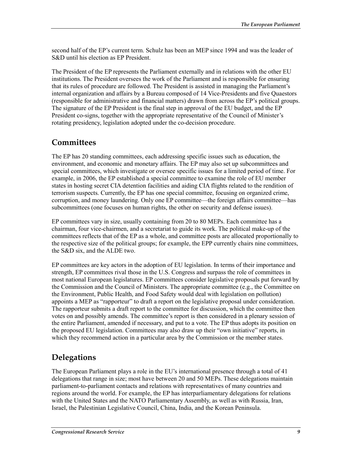second half of the EP's current term. Schulz has been an MEP since 1994 and was the leader of S&D until his election as EP President.

The President of the EP represents the Parliament externally and in relations with the other EU institutions. The President oversees the work of the Parliament and is responsible for ensuring that its rules of procedure are followed. The President is assisted in managing the Parliament's internal organization and affairs by a Bureau composed of 14 Vice-Presidents and five Quaestors (responsible for administrative and financial matters) drawn from across the EP's political groups. The signature of the EP President is the final step in approval of the EU budget, and the EP President co-signs, together with the appropriate representative of the Council of Minister's rotating presidency, legislation adopted under the co-decision procedure.

### **Committees**

The EP has 20 standing committees, each addressing specific issues such as education, the environment, and economic and monetary affairs. The EP may also set up subcommittees and special committees, which investigate or oversee specific issues for a limited period of time. For example, in 2006, the EP established a special committee to examine the role of EU member states in hosting secret CIA detention facilities and aiding CIA flights related to the rendition of terrorism suspects. Currently, the EP has one special committee, focusing on organized crime, corruption, and money laundering. Only one EP committee—the foreign affairs committee—has subcommittees (one focuses on human rights, the other on security and defense issues).

EP committees vary in size, usually containing from 20 to 80 MEPs. Each committee has a chairman, four vice-chairmen, and a secretariat to guide its work. The political make-up of the committees reflects that of the EP as a whole, and committee posts are allocated proportionally to the respective size of the political groups; for example, the EPP currently chairs nine committees, the S&D six, and the ALDE two.

EP committees are key actors in the adoption of EU legislation. In terms of their importance and strength, EP committees rival those in the U.S. Congress and surpass the role of committees in most national European legislatures. EP committees consider legislative proposals put forward by the Commission and the Council of Ministers. The appropriate committee (e.g., the Committee on the Environment, Public Health, and Food Safety would deal with legislation on pollution) appoints a MEP as "rapporteur" to draft a report on the legislative proposal under consideration. The rapporteur submits a draft report to the committee for discussion, which the committee then votes on and possibly amends. The committee's report is then considered in a plenary session of the entire Parliament, amended if necessary, and put to a vote. The EP thus adopts its position on the proposed EU legislation. Committees may also draw up their "own initiative" reports, in which they recommend action in a particular area by the Commission or the member states.

### **Delegations**

The European Parliament plays a role in the EU's international presence through a total of 41 delegations that range in size; most have between 20 and 50 MEPs. These delegations maintain parliament-to-parliament contacts and relations with representatives of many countries and regions around the world. For example, the EP has interparliamentary delegations for relations with the United States and the NATO Parliamentary Assembly, as well as with Russia, Iran, Israel, the Palestinian Legislative Council, China, India, and the Korean Peninsula.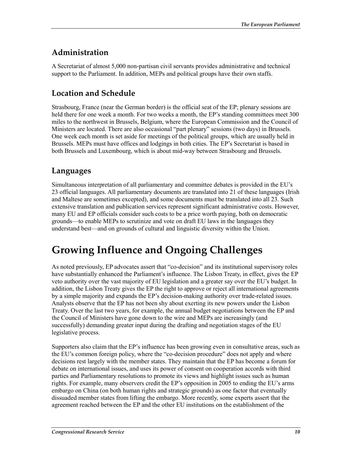### **Administration**

A Secretariat of almost 5,000 non-partisan civil servants provides administrative and technical support to the Parliament. In addition, MEPs and political groups have their own staffs.

### **Location and Schedule**

Strasbourg, France (near the German border) is the official seat of the EP; plenary sessions are held there for one week a month. For two weeks a month, the EP's standing committees meet 300 miles to the northwest in Brussels, Belgium, where the European Commission and the Council of Ministers are located. There are also occasional "part plenary" sessions (two days) in Brussels. One week each month is set aside for meetings of the political groups, which are usually held in Brussels. MEPs must have offices and lodgings in both cities. The EP's Secretariat is based in both Brussels and Luxembourg, which is about mid-way between Strasbourg and Brussels.

### **Languages**

Simultaneous interpretation of all parliamentary and committee debates is provided in the EU's 23 official languages. All parliamentary documents are translated into 21 of these languages (Irish and Maltese are sometimes excepted), and some documents must be translated into all 23. Such extensive translation and publication services represent significant administrative costs. However, many EU and EP officials consider such costs to be a price worth paying, both on democratic grounds—to enable MEPs to scrutinize and vote on draft EU laws in the languages they understand best—and on grounds of cultural and linguistic diversity within the Union.

## **Growing Influence and Ongoing Challenges**

As noted previously, EP advocates assert that "co-decision" and its institutional supervisory roles have substantially enhanced the Parliament's influence. The Lisbon Treaty, in effect, gives the EP veto authority over the vast majority of EU legislation and a greater say over the EU's budget. In addition, the Lisbon Treaty gives the EP the right to approve or reject all international agreements by a simple majority and expands the EP's decision-making authority over trade-related issues. Analysts observe that the EP has not been shy about exerting its new powers under the Lisbon Treaty. Over the last two years, for example, the annual budget negotiations between the EP and the Council of Ministers have gone down to the wire and MEPs are increasingly (and successfully) demanding greater input during the drafting and negotiation stages of the EU legislative process.

Supporters also claim that the EP's influence has been growing even in consultative areas, such as the EU's common foreign policy, where the "co-decision procedure" does not apply and where decisions rest largely with the member states. They maintain that the EP has become a forum for debate on international issues, and uses its power of consent on cooperation accords with third parties and Parliamentary resolutions to promote its views and highlight issues such as human rights. For example, many observers credit the EP's opposition in 2005 to ending the EU's arms embargo on China (on both human rights and strategic grounds) as one factor that eventually dissuaded member states from lifting the embargo. More recently, some experts assert that the agreement reached between the EP and the other EU institutions on the establishment of the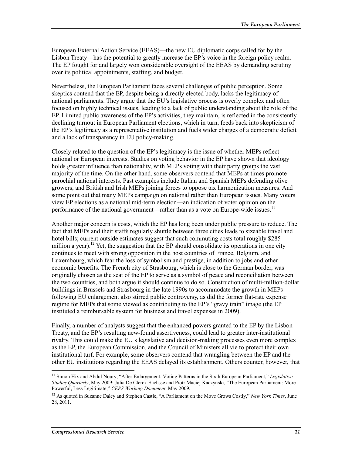European External Action Service (EEAS)—the new EU diplomatic corps called for by the Lisbon Treaty—has the potential to greatly increase the EP's voice in the foreign policy realm. The EP fought for and largely won considerable oversight of the EEAS by demanding scrutiny over its political appointments, staffing, and budget.

Nevertheless, the European Parliament faces several challenges of public perception. Some skeptics contend that the EP, despite being a directly elected body, lacks the legitimacy of national parliaments. They argue that the EU's legislative process is overly complex and often focused on highly technical issues, leading to a lack of public understanding about the role of the EP. Limited public awareness of the EP's activities, they maintain, is reflected in the consistently declining turnout in European Parliament elections, which in turn, feeds back into skepticism of the EP's legitimacy as a representative institution and fuels wider charges of a democratic deficit and a lack of transparency in EU policy-making.

Closely related to the question of the EP's legitimacy is the issue of whether MEPs reflect national or European interests. Studies on voting behavior in the EP have shown that ideology holds greater influence than nationality, with MEPs voting with their party groups the vast majority of the time. On the other hand, some observers contend that MEPs at times promote parochial national interests. Past examples include Italian and Spanish MEPs defending olive growers, and British and Irish MEPs joining forces to oppose tax harmonization measures. And some point out that many MEPs campaign on national rather than European issues. Many voters view EP elections as a national mid-term election—an indication of voter opinion on the performance of the national government—rather than as a vote on Europe-wide issues.<sup>11</sup>

Another major concern is costs, which the EP has long been under public pressure to reduce. The fact that MEPs and their staffs regularly shuttle between three cities leads to sizeable travel and hotel bills; current outside estimates suggest that such commuting costs total roughly \$285 million a year).<sup>12</sup> Yet, the suggestion that the EP should consolidate its operations in one city continues to meet with strong opposition in the host countries of France, Belgium, and Luxembourg, which fear the loss of symbolism and prestige, in addition to jobs and other economic benefits. The French city of Strasbourg, which is close to the German border, was originally chosen as the seat of the EP to serve as a symbol of peace and reconciliation between the two countries, and both argue it should continue to do so. Construction of multi-million-dollar buildings in Brussels and Strasbourg in the late 1990s to accommodate the growth in MEPs following EU enlargement also stirred public controversy, as did the former flat-rate expense regime for MEPs that some viewed as contributing to the EP's "gravy train" image (the EP instituted a reimbursable system for business and travel expenses in 2009).

Finally, a number of analysts suggest that the enhanced powers granted to the EP by the Lisbon Treaty, and the EP's resulting new-found assertiveness, could lead to greater inter-institutional rivalry. This could make the EU's legislative and decision-making processes even more complex as the EP, the European Commission, and the Council of Ministers all vie to protect their own institutional turf. For example, some observers contend that wrangling between the EP and the other EU institutions regarding the EEAS delayed its establishment. Others counter, however, that

<sup>11</sup> Simon Hix and Abdul Noury, "After Enlargement: Voting Patterns in the Sixth European Parliament," *Legislative Studies Quarterly*, May 2009; Julia De Clerck-Sachsse and Piotr Maciej Kaczynski, "The European Parliament: More Powerful, Less Legitimate," *CEPS Working Document*, May 2009.

<sup>&</sup>lt;sup>12</sup> As quoted in Suzanne Daley and Stephen Castle, "A Parliament on the Move Grows Costly," *New York Times*, June 28, 2011.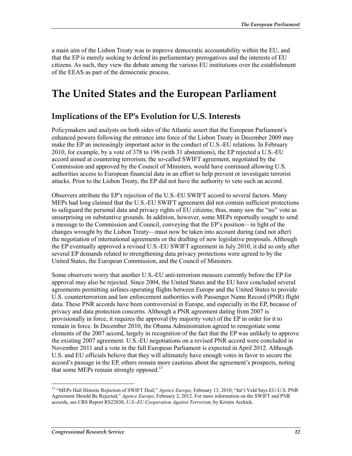a main aim of the Lisbon Treaty was to improve democratic accountability within the EU, and that the EP is merely seeking to defend its parliamentary prerogatives and the interests of EU citizens. As such, they view the debate among the various EU institutions over the establishment of the EEAS as part of the democratic process.

## **The United States and the European Parliament**

### **Implications of the EP's Evolution for U.S. Interests**

Policymakers and analysts on both sides of the Atlantic assert that the European Parliament's enhanced powers following the entrance into force of the Lisbon Treaty in December 2009 may make the EP an increasingly important actor in the conduct of U.S.-EU relations. In February 2010, for example, by a vote of 378 to 196 (with 31 abstentions), the EP rejected a U.S.-EU accord aimed at countering terrorism; the so-called SWIFT agreement, negotiated by the Commission and approved by the Council of Ministers, would have continued allowing U.S. authorities access to European financial data in an effort to help prevent or investigate terrorist attacks. Prior to the Lisbon Treaty, the EP did not have the authority to veto such an accord.

Observers attribute the EP's rejection of the U.S.-EU SWIFT accord to several factors. Many MEPs had long claimed that the U.S.-EU SWIFT agreement did not contain sufficient protections to safeguard the personal data and privacy rights of EU citizens; thus, many saw the "no" vote as unsurprising on substantive grounds. In addition, however, some MEPs reportedly sought to send a message to the Commission and Council, conveying that the EP's position—in light of the changes wrought by the Lisbon Treaty—must now be taken into account during (and not after) the negotiation of international agreements or the drafting of new legislative proposals. Although the EP eventually approved a revised U.S.-EU SWIFT agreement in July 2010, it did so only after several EP demands related to strengthening data privacy protections were agreed to by the United States, the European Commission, and the Council of Ministers.

Some observers worry that another U.S.-EU anti-terrorism measure currently before the EP for approval may also be rejected. Since 2004, the United States and the EU have concluded several agreements permitting airlines operating flights between Europe and the United States to provide U.S. counterterrorism and law enforcement authorities with Passenger Name Record (PNR) flight data. These PNR accords have been controversial in Europe, and especially in the EP, because of privacy and data protection concerns. Although a PNR agreement dating from 2007 is provisionally in force, it requires the approval (by majority vote) of the EP in order for it to remain in force. In December 2010, the Obama Administration agreed to renegotiate some elements of the 2007 accord, largely in recognition of the fact that the EP was unlikely to approve the existing 2007 agreement. U.S.-EU negotiations on a revised PNR accord were concluded in November 2011 and a vote in the full European Parliament is expected in April 2012. Although U.S. and EU officials believe that they will ultimately have enough votes in favor to secure the accord's passage in the EP, others remain more cautious about the agreement's prospects, noting that some MEPs remain strongly opposed.<sup>13</sup>

<sup>&</sup>lt;sup>13</sup> "MEPs Hail Historic Rejection of SWIFT Deal," *Agence Europe*, February 13, 2010; "Int't Veld Says EU-U.S. PNR Agreement Should Be Rejected," *Agence Europe*, February 2, 2012. For more information on the SWIFT and PNR accords, see CRS Report RS22030, *U.S.-EU Cooperation Against Terrorism*, by Kristin Archick.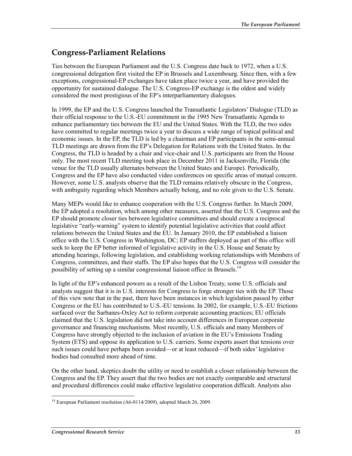### **Congress-Parliament Relations**

Ties between the European Parliament and the U.S. Congress date back to 1972, when a U.S. congressional delegation first visited the EP in Brussels and Luxembourg. Since then, with a few exceptions, congressional-EP exchanges have taken place twice a year, and have provided the opportunity for sustained dialogue. The U.S. Congress-EP exchange is the oldest and widely considered the most prestigious of the EP's interparliamentary dialogues.

In 1999, the EP and the U.S. Congress launched the Transatlantic Legislators' Dialogue (TLD) as their official response to the U.S.-EU commitment in the 1995 New Transatlantic Agenda to enhance parliamentary ties between the EU and the United States. With the TLD, the two sides have committed to regular meetings twice a year to discuss a wide range of topical political and economic issues. In the EP, the TLD is led by a chairman and EP participants in the semi-annual TLD meetings are drawn from the EP's Delegation for Relations with the United States. In the Congress, the TLD is headed by a chair and vice-chair and U.S. participants are from the House only. The most recent TLD meeting took place in December 2011 in Jacksonville, Florida (the venue for the TLD usually alternates between the United States and Europe). Periodically, Congress and the EP have also conducted video conferences on specific areas of mutual concern. However, some U.S. analysts observe that the TLD remains relatively obscure in the Congress, with ambiguity regarding which Members actually belong, and no role given to the U.S. Senate.

Many MEPs would like to enhance cooperation with the U.S. Congress further. In March 2009, the EP adopted a resolution, which among other measures, asserted that the U.S. Congress and the EP should promote closer ties between legislative committees and should create a reciprocal legislative "early-warning" system to identify potential legislative activities that could affect relations between the United States and the EU. In January 2010, the EP established a liaison office with the U.S. Congress in Washington, DC; EP staffers deployed as part of this office will seek to keep the EP better informed of legislative activity in the U.S. House and Senate by attending hearings, following legislation, and establishing working relationships with Members of Congress, committees, and their staffs. The EP also hopes that the U.S. Congress will consider the possibility of setting up a similar congressional liaison office in Brussels.<sup>14</sup>

In light of the EP's enhanced powers as a result of the Lisbon Treaty, some U.S. officials and analysts suggest that it is in U.S. interests for Congress to forge stronger ties with the EP. Those of this view note that in the past, there have been instances in which legislation passed by either Congress or the EU has contributed to U.S.-EU tensions. In 2002, for example, U.S.-EU frictions surfaced over the Sarbanes-Oxley Act to reform corporate accounting practices; EU officials claimed that the U.S. legislation did not take into account differences in European corporate governance and financing mechanisms. Most recently, U.S. officials and many Members of Congress have strongly objected to the inclusion of aviation in the EU's Emissions Trading System (ETS) and oppose its application to U.S. carriers. Some experts assert that tensions over such issues could have perhaps been avoided—or at least reduced—if both sides' legislative bodies had consulted more ahead of time.

On the other hand, skeptics doubt the utility or need to establish a closer relationship between the Congress and the EP. They assert that the two bodies are not exactly comparable and structural and procedural differences could make effective legislative cooperation difficult. Analysts also

<sup>&</sup>lt;u>.</u> <sup>14</sup> European Parliament resolution (A6-0114/2009), adopted March 26, 2009.